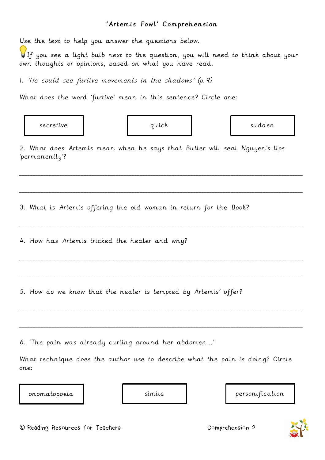## 'Artemis Fowl' Comprehension

Use the text to help you answer the questions below.

If you see a light bulb next to the question, you will need to think about your own thoughts or opinions, based on what you have read.

1. 'He could see furtive movements in the shadows' (p.9)

What does the word 'furtive' mean in this sentence? Circle one:

secretive | quick | sudden

2. What does Artemis mean when he says that Butler will seal Nguyen's lips 'permanently'?

\_\_\_\_\_\_\_\_\_\_\_\_\_\_\_\_\_\_\_\_\_\_\_\_\_\_\_\_\_\_\_\_\_\_\_\_\_\_\_\_\_\_\_\_\_\_\_\_\_\_\_\_\_\_\_\_\_\_\_\_\_\_\_\_\_\_\_\_\_\_\_\_\_\_\_\_\_\_\_\_\_\_\_\_\_\_\_\_\_\_\_\_\_\_\_\_\_\_\_\_\_\_\_\_\_\_

\_\_\_\_\_\_\_\_\_\_\_\_\_\_\_\_\_\_\_\_\_\_\_\_\_\_\_\_\_\_\_\_\_\_\_\_\_\_\_\_\_\_\_\_\_\_\_\_\_\_\_\_\_\_\_\_\_\_\_\_\_\_\_\_\_\_\_\_\_\_\_\_\_\_\_\_\_\_\_\_\_\_\_\_\_\_\_\_\_\_\_\_\_\_\_\_\_\_\_\_\_\_\_\_\_\_

\_\_\_\_\_\_\_\_\_\_\_\_\_\_\_\_\_\_\_\_\_\_\_\_\_\_\_\_\_\_\_\_\_\_\_\_\_\_\_\_\_\_\_\_\_\_\_\_\_\_\_\_\_\_\_\_\_\_\_\_\_\_\_\_\_\_\_\_\_\_\_\_\_\_\_\_\_\_\_\_\_\_\_\_\_\_\_\_\_\_\_\_\_\_\_\_\_\_\_\_\_\_\_\_\_\_

\_\_\_\_\_\_\_\_\_\_\_\_\_\_\_\_\_\_\_\_\_\_\_\_\_\_\_\_\_\_\_\_\_\_\_\_\_\_\_\_\_\_\_\_\_\_\_\_\_\_\_\_\_\_\_\_\_\_\_\_\_\_\_\_\_\_\_\_\_\_\_\_\_\_\_\_\_\_\_\_\_\_\_\_\_\_\_\_\_\_\_\_\_\_\_\_\_\_\_\_\_\_\_\_\_\_

\_\_\_\_\_\_\_\_\_\_\_\_\_\_\_\_\_\_\_\_\_\_\_\_\_\_\_\_\_\_\_\_\_\_\_\_\_\_\_\_\_\_\_\_\_\_\_\_\_\_\_\_\_\_\_\_\_\_\_\_\_\_\_\_\_\_\_\_\_\_\_\_\_\_\_\_\_\_\_\_\_\_\_\_\_\_\_\_\_\_\_\_\_\_\_\_\_\_\_\_\_\_\_\_\_\_

\_\_\_\_\_\_\_\_\_\_\_\_\_\_\_\_\_\_\_\_\_\_\_\_\_\_\_\_\_\_\_\_\_\_\_\_\_\_\_\_\_\_\_\_\_\_\_\_\_\_\_\_\_\_\_\_\_\_\_\_\_\_\_\_\_\_\_\_\_\_\_\_\_\_\_\_\_\_\_\_\_\_\_\_\_\_\_\_\_\_\_\_\_\_\_\_\_\_\_\_\_\_\_\_\_\_

\_\_\_\_\_\_\_\_\_\_\_\_\_\_\_\_\_\_\_\_\_\_\_\_\_\_\_\_\_\_\_\_\_\_\_\_\_\_\_\_\_\_\_\_\_\_\_\_\_\_\_\_\_\_\_\_\_\_\_\_\_\_\_\_\_\_\_\_\_\_\_\_\_\_\_\_\_\_\_\_\_\_\_\_\_\_\_\_\_\_\_\_\_\_\_\_\_\_\_\_\_\_\_\_\_\_

3. What is Artemis offering the old woman in return for the Book?

4. How has Artemis tricked the healer and why?

5. How do we know that the healer is tempted by Artemis' offer?

6. 'The pain was already curling around her abdomen…'

What technique does the author use to describe what the pain is doing? Circle one:



simile  $|$  personification